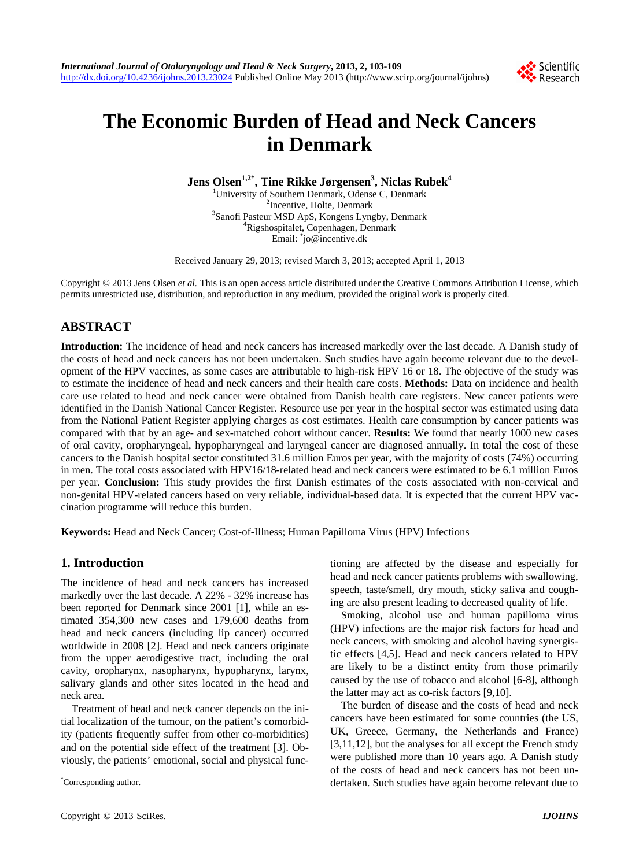

# **The Economic Burden of Head and Neck Cancers in Denmark**

**Jens Olsen1,2\*, Tine Rikke Jørgensen3 , Niclas Rubek<sup>4</sup>**

<sup>1</sup>University of Southern Denmark, Odense C, Denmark  $\frac{2 \text{T}_{\text{nontrivial}}}{2 \text{T}_{\text{nontrivial}}}$  $\frac{1}{2}$ Incentive, Holte, Denmark<br>38 anofi Besteur MSD ApS, Kongons Lyne Sanofi Pasteur MSD ApS, Kongens Lyngby, Denmark<br><sup>4</sup>Dischesnitelet, Congressen, Denmark Rigshospitalet, Copenhagen, Denmark Email: \* jo@incentive.dk

Received January 29, 2013; revised March 3, 2013; accepted April 1, 2013

Copyright © 2013 Jens Olsen *et al.* This is an open access article distributed under the Creative Commons Attribution License, which permits unrestricted use, distribution, and reproduction in any medium, provided the original work is properly cited.

# **ABSTRACT**

**Introduction:** The incidence of head and neck cancers has increased markedly over the last decade. A Danish study of the costs of head and neck cancers has not been undertaken. Such studies have again become relevant due to the development of the HPV vaccines, as some cases are attributable to high-risk HPV 16 or 18. The objective of the study was to estimate the incidence of head and neck cancers and their health care costs. **Methods:** Data on incidence and health care use related to head and neck cancer were obtained from Danish health care registers. New cancer patients were identified in the Danish National Cancer Register. Resource use per year in the hospital sector was estimated using data from the National Patient Register applying charges as cost estimates. Health care consumption by cancer patients was compared with that by an age- and sex-matched cohort without cancer. **Results:** We found that nearly 1000 new cases of oral cavity, oropharyngeal, hypopharyngeal and laryngeal cancer are diagnosed annually. In total the cost of these cancers to the Danish hospital sector constituted 31.6 million Euros per year, with the majority of costs (74%) occurring in men. The total costs associated with HPV16/18-related head and neck cancers were estimated to be 6.1 million Euros per year. **Conclusion:** This study provides the first Danish estimates of the costs associated with non-cervical and non-genital HPV-related cancers based on very reliable, individual-based data. It is expected that the current HPV vaccination programme will reduce this burden.

**Keywords:** Head and Neck Cancer; Cost-of-Illness; Human Papilloma Virus (HPV) Infections

# **1. Introduction**

The incidence of head and neck cancers has increased markedly over the last decade. A 22% - 32% increase has been reported for Denmark since 2001 [1], while an estimated 354,300 new cases and 179,600 deaths from head and neck cancers (including lip cancer) occurred worldwide in 2008 [2]. Head and neck cancers originate from the upper aerodigestive tract, including the oral cavity, oropharynx, nasopharynx, hypopharynx, larynx, salivary glands and other sites located in the head and neck area.

Treatment of head and neck cancer depends on the initial localization of the tumour, on the patient's comorbidity (patients frequently suffer from other co-morbidities) and on the potential side effect of the treatment [3]. Obviously, the patients' emotional, social and physical functioning are affected by the disease and especially for head and neck cancer patients problems with swallowing, speech, taste/smell, dry mouth, sticky saliva and coughing are also present leading to decreased quality of life.

Smoking, alcohol use and human papilloma virus (HPV) infections are the major risk factors for head and neck cancers, with smoking and alcohol having synergistic effects [4,5]. Head and neck cancers related to HPV are likely to be a distinct entity from those primarily caused by the use of tobacco and alcohol [6-8], although the latter may act as co-risk factors [9,10].

The burden of disease and the costs of head and neck cancers have been estimated for some countries (the US, UK, Greece, Germany, the Netherlands and France) [3,11,12], but the analyses for all except the French study were published more than 10 years ago. A Danish study of the costs of head and neck cancers has not been undertaken. Such studies have again become relevant due to \*

Corresponding author.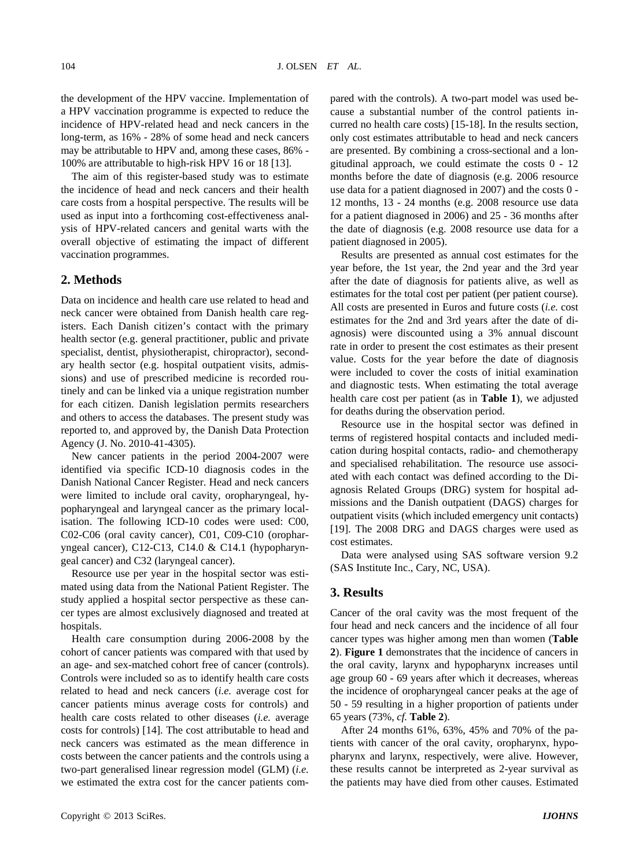the development of the HPV vaccine. Implementation of a HPV vaccination programme is expected to reduce the incidence of HPV-related head and neck cancers in the long-term, as 16% - 28% of some head and neck cancers may be attributable to HPV and, among these cases, 86% - 100% are attributable to high-risk HPV 16 or 18 [13].

The aim of this register-based study was to estimate the incidence of head and neck cancers and their health care costs from a hospital perspective. The results will be used as input into a forthcoming cost-effectiveness analysis of HPV-related cancers and genital warts with the overall objective of estimating the impact of different vaccination programmes.

## **2. Methods**

Data on incidence and health care use related to head and neck cancer were obtained from Danish health care registers. Each Danish citizen's contact with the primary health sector (e.g. general practitioner, public and private specialist, dentist, physiotherapist, chiropractor), secondary health sector (e.g. hospital outpatient visits, admissions) and use of prescribed medicine is recorded routinely and can be linked via a unique registration number for each citizen. Danish legislation permits researchers and others to access the databases. The present study was reported to, and approved by, the Danish Data Protection Agency (J. No. 2010-41-4305).

New cancer patients in the period 2004-2007 were identified via specific ICD-10 diagnosis codes in the Danish National Cancer Register. Head and neck cancers were limited to include oral cavity, oropharyngeal, hypopharyngeal and laryngeal cancer as the primary localisation. The following ICD-10 codes were used: C00, C02-C06 (oral cavity cancer), C01, C09-C10 (oropharyngeal cancer), C12-C13, C14.0 & C14.1 (hypopharyngeal cancer) and C32 (laryngeal cancer).

Resource use per year in the hospital sector was estimated using data from the National Patient Register. The study applied a hospital sector perspective as these cancer types are almost exclusively diagnosed and treated at hospitals.

Health care consumption during 2006-2008 by the cohort of cancer patients was compared with that used by an age- and sex-matched cohort free of cancer (controls). Controls were included so as to identify health care costs related to head and neck cancers (*i.e.* average cost for cancer patients minus average costs for controls) and health care costs related to other diseases (*i.e.* average costs for controls) [14]. The cost attributable to head and neck cancers was estimated as the mean difference in costs between the cancer patients and the controls using a two-part generalised linear regression model (GLM) (*i.e.* we estimated the extra cost for the cancer patients compared with the controls). A two-part model was used because a substantial number of the control patients incurred no health care costs) [15-18]. In the results section, only cost estimates attributable to head and neck cancers are presented. By combining a cross-sectional and a longitudinal approach, we could estimate the costs 0 - 12 months before the date of diagnosis (e.g. 2006 resource use data for a patient diagnosed in 2007) and the costs 0 - 12 months, 13 - 24 months (e.g. 2008 resource use data for a patient diagnosed in 2006) and 25 - 36 months after the date of diagnosis (e.g. 2008 resource use data for a patient diagnosed in 2005).

Results are presented as annual cost estimates for the year before, the 1st year, the 2nd year and the 3rd year after the date of diagnosis for patients alive, as well as estimates for the total cost per patient (per patient course). All costs are presented in Euros and future costs (*i.e.* cost estimates for the 2nd and 3rd years after the date of diagnosis) were discounted using a 3% annual discount rate in order to present the cost estimates as their present value. Costs for the year before the date of diagnosis were included to cover the costs of initial examination and diagnostic tests. When estimating the total average health care cost per patient (as in **Table 1**), we adjusted for deaths during the observation period.

Resource use in the hospital sector was defined in terms of registered hospital contacts and included medication during hospital contacts, radio- and chemotherapy and specialised rehabilitation. The resource use associated with each contact was defined according to the Diagnosis Related Groups (DRG) system for hospital admissions and the Danish outpatient (DAGS) charges for outpatient visits (which included emergency unit contacts) [19]. The 2008 DRG and DAGS charges were used as cost estimates.

Data were analysed using SAS software version 9.2 (SAS Institute Inc., Cary, NC, USA).

## **3. Results**

Cancer of the oral cavity was the most frequent of the four head and neck cancers and the incidence of all four cancer types was higher among men than women (**Table 2**). **Figure 1** demonstrates that the incidence of cancers in the oral cavity, larynx and hypopharynx increases until age group 60 - 69 years after which it decreases, whereas the incidence of oropharyngeal cancer peaks at the age of 50 - 59 resulting in a higher proportion of patients under 65 years (73%, *cf.* **Table 2**).

After 24 months 61%, 63%, 45% and 70% of the patients with cancer of the oral cavity, oropharynx, hypopharynx and larynx, respectively, were alive. However, these results cannot be interpreted as 2-year survival as the patients may have died from other causes. Estimated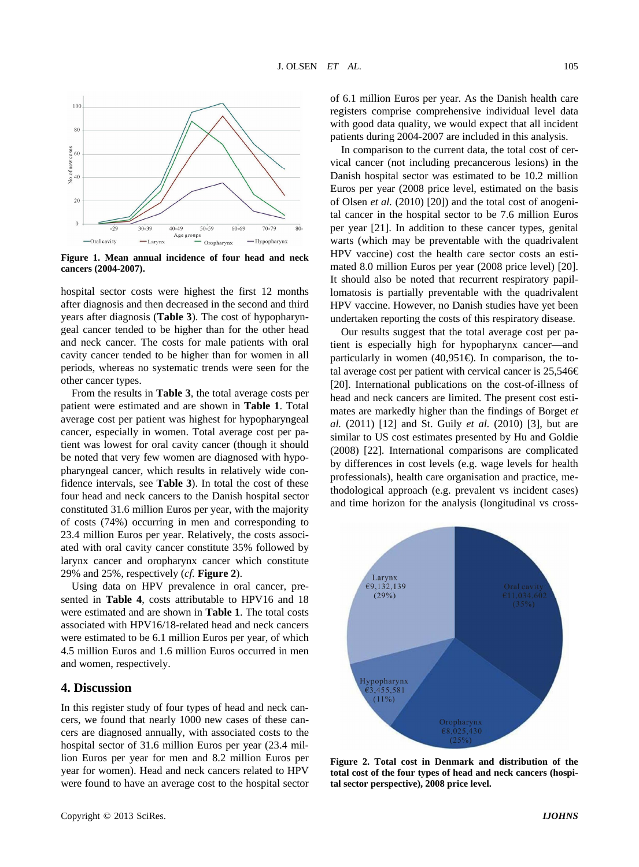

**Figure 1. Mean annual incidence of four head and neck cancers (2004-2007).** 

hospital sector costs were highest the first 12 months after diagnosis and then decreased in the second and third years after diagnosis (**Table 3**). The cost of hypopharyngeal cancer tended to be higher than for the other head and neck cancer. The costs for male patients with oral cavity cancer tended to be higher than for women in all periods, whereas no systematic trends were seen for the other cancer types.

From the results in **Table 3**, the total average costs per patient were estimated and are shown in **Table 1**. Total average cost per patient was highest for hypopharyngeal cancer, especially in women. Total average cost per patient was lowest for oral cavity cancer (though it should be noted that very few women are diagnosed with hypopharyngeal cancer, which results in relatively wide confidence intervals, see **Table 3**). In total the cost of these four head and neck cancers to the Danish hospital sector constituted 31.6 million Euros per year, with the majority of costs (74%) occurring in men and corresponding to 23.4 million Euros per year. Relatively, the costs associated with oral cavity cancer constitute 35% followed by larynx cancer and oropharynx cancer which constitute 29% and 25%, respectively (*cf.* **Figure 2**).

Using data on HPV prevalence in oral cancer, presented in **Table 4**, costs attributable to HPV16 and 18 were estimated and are shown in **Table 1**. The total costs associated with HPV16/18-related head and neck cancers were estimated to be 6.1 million Euros per year, of which 4.5 million Euros and 1.6 million Euros occurred in men and women, respectively.

## **4. Discussion**

In this register study of four types of head and neck cancers, we found that nearly 1000 new cases of these cancers are diagnosed annually, with associated costs to the hospital sector of 31.6 million Euros per year (23.4 million Euros per year for men and 8.2 million Euros per year for women). Head and neck cancers related to HPV were found to have an average cost to the hospital sector

In comparison to the current data, the total cost of cervical cancer (not including precancerous lesions) in the Danish hospital sector was estimated to be 10.2 million Euros per year (2008 price level, estimated on the basis of Olsen *et al.* (2010) [20]) and the total cost of anogenital cancer in the hospital sector to be 7.6 million Euros per year [21]. In addition to these cancer types, genital warts (which may be preventable with the quadrivalent HPV vaccine) cost the health care sector costs an estimated 8.0 million Euros per year (2008 price level) [20]. It should also be noted that recurrent respiratory papillomatosis is partially preventable with the quadrivalent HPV vaccine. However, no Danish studies have yet been undertaken reporting the costs of this respiratory disease.

Our results suggest that the total average cost per patient is especially high for hypopharynx cancer—and particularly in women  $(40,951)$ . In comparison, the total average cost per patient with cervical cancer is  $25,546 \in$ [20]. International publications on the cost-of-illness of head and neck cancers are limited. The present cost estimates are markedly higher than the findings of Borget *et al.* (2011) [12] and St. Guily *et al.* (2010) [3], but are similar to US cost estimates presented by Hu and Goldie (2008) [22]. International comparisons are complicated by differences in cost levels (e.g. wage levels for health professionals), health care organisation and practice, methodological approach (e.g. prevalent vs incident cases) and time horizon for the analysis (longitudinal vs cross-



**Figure 2. Total cost in Denmark and distribution of the total cost of the four types of head and neck cancers (hospital sector perspective), 2008 price level.**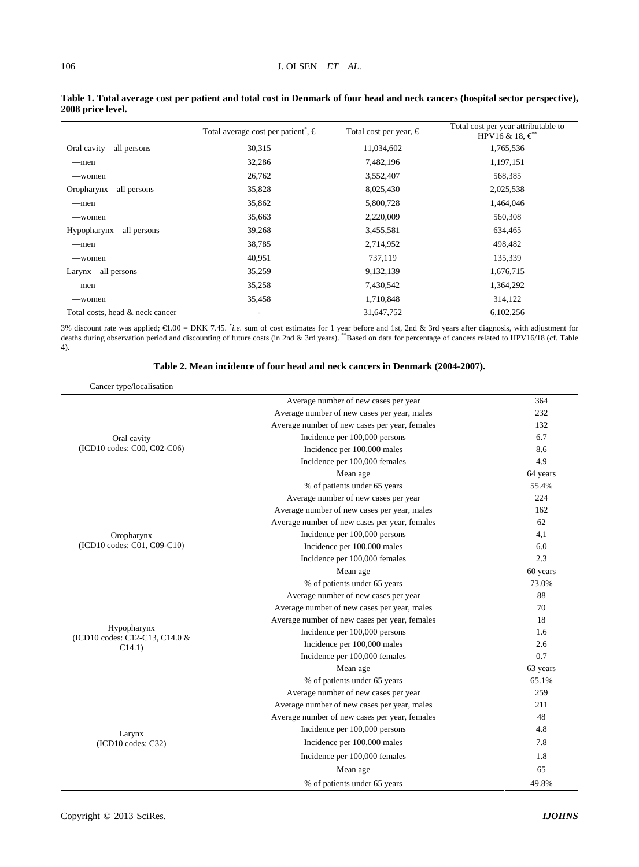|                                 | Total average cost per patient, $\epsilon$ | Total cost per year, $\in$ | Total cost per year attributable to<br>HPV16 & 18, $\boldsymbol{\epsilon}^*$ |
|---------------------------------|--------------------------------------------|----------------------------|------------------------------------------------------------------------------|
| Oral cavity-all persons         | 30,315                                     | 11,034,602                 | 1,765,536                                                                    |
| —men                            | 32,286                                     | 7,482,196                  | 1,197,151                                                                    |
| —women                          | 26,762                                     | 3,552,407                  | 568,385                                                                      |
| Oropharynx—all persons          | 35,828                                     | 8,025,430                  | 2,025,538                                                                    |
| —men                            | 35,862                                     | 5,800,728                  | 1,464,046                                                                    |
| —women                          | 35,663                                     | 2,220,009                  | 560,308                                                                      |
| Hypopharynx—all persons         | 39,268                                     | 3,455,581                  | 634,465                                                                      |
| —men                            | 38,785                                     | 2,714,952                  | 498,482                                                                      |
| —women                          | 40,951                                     | 737,119                    | 135,339                                                                      |
| Larynx—all persons              | 35,259                                     | 9,132,139                  | 1,676,715                                                                    |
| —men                            | 35,258                                     | 7,430,542                  | 1,364,292                                                                    |
| —women                          | 35,458                                     | 1,710,848                  | 314,122                                                                      |
| Total costs, head & neck cancer | $\qquad \qquad \blacksquare$               | 31,647,752                 | 6,102,256                                                                    |

#### **Table 1. Total average cost per patient and total cost in Denmark of four head and neck cancers (hospital sector perspective), 2008 price level.**

3% discount rate was applied; €1.00 = DKK 7.45. \**i.e.* sum of cost estimates for 1 year before and 1st, 2nd & 3rd years after diagnosis, with adjustment for deaths during observation period and discounting of future cost 4).

| Cancer type/localisation                      |                                               |          |
|-----------------------------------------------|-----------------------------------------------|----------|
|                                               | Average number of new cases per year          | 364      |
| Oral cavity                                   | Average number of new cases per year, males   | 232      |
|                                               | Average number of new cases per year, females | 132      |
|                                               | Incidence per 100,000 persons                 | 6.7      |
| (ICD10 codes: C00, C02-C06)                   | Incidence per 100,000 males                   | 8.6      |
|                                               | Incidence per 100,000 females                 | 4.9      |
|                                               | Mean age                                      | 64 years |
|                                               | % of patients under 65 years                  | 55.4%    |
| Oropharynx<br>(ICD10 codes: C01, C09-C10)     | Average number of new cases per year          | 224      |
|                                               | Average number of new cases per year, males   | 162      |
|                                               | Average number of new cases per year, females | 62       |
|                                               | Incidence per 100,000 persons                 | 4,1      |
|                                               | Incidence per 100,000 males                   | 6.0      |
|                                               | Incidence per 100,000 females                 | 2.3      |
|                                               | Mean age                                      | 60 years |
|                                               | % of patients under 65 years                  | 73.0%    |
|                                               | Average number of new cases per year          | 88       |
|                                               | Average number of new cases per year, males   | 70       |
|                                               | Average number of new cases per year, females | 18       |
| Hypopharynx<br>(ICD10 codes: C12-C13, C14.0 & | Incidence per 100,000 persons                 | 1.6      |
| C14.1)                                        | Incidence per 100,000 males                   | 2.6      |
|                                               | Incidence per 100,000 females                 | 0.7      |
|                                               | Mean age                                      | 63 years |
|                                               | % of patients under 65 years                  | 65.1%    |
|                                               | Average number of new cases per year          | 259      |
|                                               | Average number of new cases per year, males   | 211      |
|                                               | Average number of new cases per year, females | 48       |
| Larynx<br>(ICD10 codes: C32)                  | Incidence per 100,000 persons                 | 4.8      |
|                                               | Incidence per 100,000 males                   | 7.8      |
|                                               | Incidence per 100,000 females                 | 1.8      |
|                                               | Mean age                                      | 65       |
|                                               | % of patients under 65 years                  | 49.8%    |

#### **Table 2. Mean incidence of four head and neck cancers in Denmark (2004-2007).**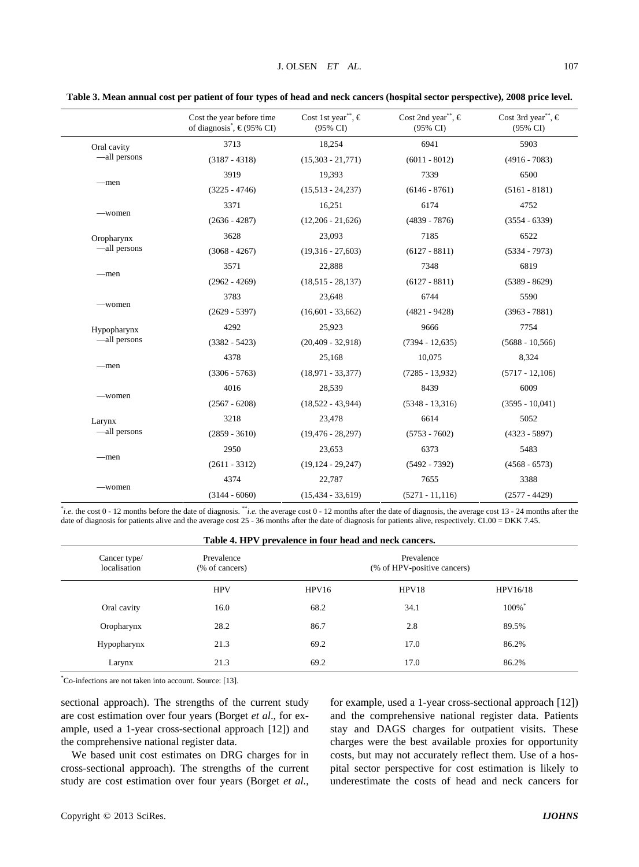|                             | Cost the year before time<br>of diagnosis <sup>*</sup> , $\in$ (95% CI) | Cost 1st year", $\in$<br>$(95\% \text{ CI})$ | Cost 2nd year", $\in$<br>$(95\% \text{ CI})$ | Cost 3rd year", $\in$<br>$(95\% \text{ CI})$ |
|-----------------------------|-------------------------------------------------------------------------|----------------------------------------------|----------------------------------------------|----------------------------------------------|
| Oral cavity<br>—all persons | 3713                                                                    | 18,254                                       | 6941                                         | 5903                                         |
|                             | $(3187 - 4318)$                                                         | $(15,303 - 21,771)$                          | $(6011 - 8012)$                              | $(4916 - 7083)$                              |
| -men                        | 3919                                                                    | 19,393                                       | 7339                                         | 6500                                         |
|                             | $(3225 - 4746)$                                                         | $(15,513 - 24,237)$                          | $(6146 - 8761)$                              | $(5161 - 8181)$                              |
| -women                      | 3371                                                                    | 16,251                                       | 6174                                         | 4752                                         |
|                             | $(2636 - 4287)$                                                         | $(12,206 - 21,626)$                          | $(4839 - 7876)$                              | $(3554 - 6339)$                              |
| Oropharynx                  | 3628                                                                    | 23,093                                       | 7185                                         | 6522                                         |
| —all persons                | $(3068 - 4267)$                                                         | $(19,316 - 27,603)$                          | $(6127 - 8811)$                              | $(5334 - 7973)$                              |
|                             | 3571                                                                    | 22,888                                       | 7348                                         | 6819                                         |
| -men                        | $(2962 - 4269)$                                                         | $(18,515 - 28,137)$                          | $(6127 - 8811)$                              | $(5389 - 8629)$                              |
|                             | 3783                                                                    | 23,648                                       | 6744                                         | 5590                                         |
| -women                      | $(2629 - 5397)$                                                         | $(16,601 - 33,662)$                          | $(4821 - 9428)$                              | $(3963 - 7881)$                              |
| Hypopharynx<br>-all persons | 4292                                                                    | 25,923                                       | 9666                                         | 7754                                         |
|                             | $(3382 - 5423)$                                                         | $(20, 409 - 32, 918)$                        | $(7394 - 12,635)$                            | $(5688 - 10, 566)$                           |
|                             | 4378                                                                    | 25,168                                       | 10,075                                       | 8,324                                        |
| -men                        | $(3306 - 5763)$                                                         | $(18,971 - 33,377)$                          | $(7285 - 13.932)$                            | $(5717 - 12,106)$                            |
| —women                      | 4016                                                                    | 28,539                                       | 8439                                         | 6009                                         |
|                             | $(2567 - 6208)$                                                         | $(18,522 - 43,944)$                          | $(5348 - 13,316)$                            | $(3595 - 10,041)$                            |
| Larynx<br>—all persons      | 3218                                                                    | 23,478                                       | 6614                                         | 5052                                         |
|                             | $(2859 - 3610)$                                                         | $(19, 476 - 28, 297)$                        | $(5753 - 7602)$                              | $(4323 - 5897)$                              |
| -men                        | 2950                                                                    | 23,653                                       | 6373                                         | 5483                                         |
|                             | $(2611 - 3312)$                                                         | $(19, 124 - 29, 247)$                        | $(5492 - 7392)$                              | $(4568 - 6573)$                              |
| —women                      | 4374                                                                    | 22,787                                       | 7655                                         | 3388                                         |
|                             | $(3144 - 6060)$                                                         | $(15, 434 - 33, 619)$                        | $(5271 - 11, 116)$                           | $(2577 - 4429)$                              |

**Table 3. Mean annual cost per patient of four types of head and neck cancers (hospital sector perspective), 2008 price level.** 

\* *i.e.* the cost 0 - 12 months before the date of diagnosis. \*\**i.e.* the average cost 0 - 12 months after the date of diagnosis, the average cost 13 - 24 months after the date of diagnosis for patients alive and the average cost 25 - 36 months after the date of diagnosis for patients alive, respectively. €1.00 = DKK 7.45.

| Table 4. HPV prevalence in four head and neck cancers. |                              |                                           |       |                      |  |  |  |  |
|--------------------------------------------------------|------------------------------|-------------------------------------------|-------|----------------------|--|--|--|--|
| Cancer type/<br>localisation                           | Prevalence<br>(% of cancers) | Prevalence<br>(% of HPV-positive cancers) |       |                      |  |  |  |  |
|                                                        | <b>HPV</b>                   | HPV16                                     | HPV18 | HPV16/18             |  |  |  |  |
| Oral cavity                                            | 16.0                         | 68.2                                      | 34.1  | $100\%$ <sup>*</sup> |  |  |  |  |
| Oropharynx                                             | 28.2                         | 86.7                                      | 2.8   | 89.5%                |  |  |  |  |
| Hypopharynx                                            | 21.3                         | 69.2                                      | 17.0  | 86.2%                |  |  |  |  |
| Larynx                                                 | 21.3                         | 69.2                                      | 17.0  | 86.2%                |  |  |  |  |

\* Co-infections are not taken into account. Source: [13].

sectional approach). The strengths of the current study are cost estimation over four years (Borget *et al*., for example, used a 1-year cross-sectional approach [12]) and the comprehensive national register data.

We based unit cost estimates on DRG charges for in cross-sectional approach). The strengths of the current study are cost estimation over four years (Borget *et al.*,

for example, used a 1-year cross-sectional approach [12]) and the comprehensive national register data. Patients stay and DAGS charges for outpatient visits. These charges were the best available proxies for opportunity costs, but may not accurately reflect them. Use of a hospital sector perspective for cost estimation is likely to underestimate the costs of head and neck cancers for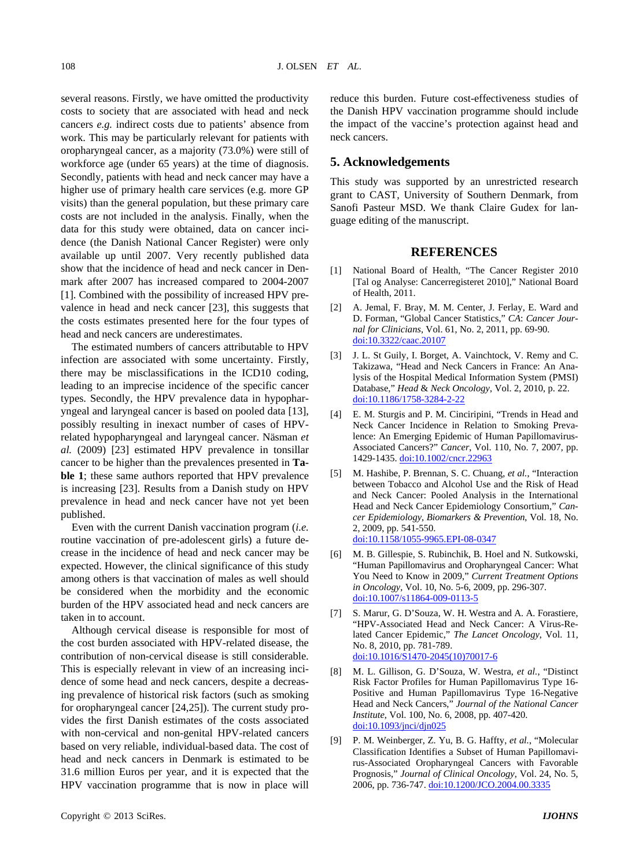several reasons. Firstly, we have omitted the productivity costs to society that are associated with head and neck cancers *e.g.* indirect costs due to patients' absence from work. This may be particularly relevant for patients with oropharyngeal cancer, as a majority (73.0%) were still of workforce age (under 65 years) at the time of diagnosis. Secondly, patients with head and neck cancer may have a higher use of primary health care services (e.g. more GP visits) than the general population, but these primary care costs are not included in the analysis. Finally, when the data for this study were obtained, data on cancer incidence (the Danish National Cancer Register) were only available up until 2007. Very recently published data show that the incidence of head and neck cancer in Denmark after 2007 has increased compared to 2004-2007 [1]. Combined with the possibility of increased HPV prevalence in head and neck cancer [23], this suggests that the costs estimates presented here for the four types of head and neck cancers are underestimates.

The estimated numbers of cancers attributable to HPV infection are associated with some uncertainty. Firstly, there may be misclassifications in the ICD10 coding, leading to an imprecise incidence of the specific cancer types. Secondly, the HPV prevalence data in hypopharyngeal and laryngeal cancer is based on pooled data [13], possibly resulting in inexact number of cases of HPVrelated hypopharyngeal and laryngeal cancer. Näsman *et al.* (2009) [23] estimated HPV prevalence in tonsillar cancer to be higher than the prevalences presented in **Table 1**; these same authors reported that HPV prevalence is increasing [23]. Results from a Danish study on HPV prevalence in head and neck cancer have not yet been published.

Even with the current Danish vaccination program (*i.e.* routine vaccination of pre-adolescent girls) a future decrease in the incidence of head and neck cancer may be expected. However, the clinical significance of this study among others is that vaccination of males as well should be considered when the morbidity and the economic burden of the HPV associated head and neck cancers are taken in to account.

Although cervical disease is responsible for most of the cost burden associated with HPV-related disease, the contribution of non-cervical disease is still considerable. This is especially relevant in view of an increasing incidence of some head and neck cancers, despite a decreasing prevalence of historical risk factors (such as smoking for oropharyngeal cancer [24,25]). The current study provides the first Danish estimates of the costs associated with non-cervical and non-genital HPV-related cancers based on very reliable, individual-based data. The cost of head and neck cancers in Denmark is estimated to be 31.6 million Euros per year, and it is expected that the HPV vaccination programme that is now in place will

reduce this burden. Future cost-effectiveness studies of the Danish HPV vaccination programme should include the impact of the vaccine's protection against head and neck cancers.

# **5. Acknowledgements**

This study was supported by an unrestricted research grant to CAST, University of Southern Denmark, from Sanofi Pasteur MSD. We thank Claire Gudex for language editing of the manuscript.

#### **REFERENCES**

- [1] National Board of Health, "The Cancer Register 2010 [Tal og Analyse: Cancerregisteret 2010]," National Board of Health, 2011.
- [2] A. Jemal, F. Bray, M. M. Center, J. Ferlay, E. Ward and D. Forman, "Global Cancer Statistics," *CA*: *Cancer Journal for Clinicians*, Vol. 61, No. 2, 2011, pp. 69-90. [doi:10.3322/caac.20107](http://dx.doi.org/10.3322/caac.20107)
- [3] J. L. St Guily, I. Borget, A. Vainchtock, V. Remy and C. Takizawa, "Head and Neck Cancers in France: An Analysis of the Hospital Medical Information System (PMSI) Database," *Head* & *Neck Oncology*, Vol. 2, 2010, p. 22. [doi:10.1186/1758-3284-2-22](http://dx.doi.org/10.1186/1758-3284-2-22)
- [4] E. M. Sturgis and P. M. Cinciripini, "Trends in Head and Neck Cancer Incidence in Relation to Smoking Prevalence: An Emerging Epidemic of Human Papillomavirus-Associated Cancers?" *Cancer*, Vol. 110, No. 7, 2007, pp. 1429-1435. [doi:10.1002/cncr.22963](http://dx.doi.org/10.1002/cncr.22963)
- [5] M. Hashibe, P. Brennan, S. C. Chuang, *et al.*, "Interaction between Tobacco and Alcohol Use and the Risk of Head and Neck Cancer: Pooled Analysis in the International Head and Neck Cancer Epidemiology Consortium," *Cancer Epidemiology*, *Biomarkers & Prevention*, Vol. 18, No. 2, 2009, pp. 541-550. [doi:10.1158/1055-9965.EPI-08-0347](http://dx.doi.org/10.1158/1055-9965.EPI-08-0347)
- [6] M. B. Gillespie, S. Rubinchik, B. Hoel and N. Sutkowski, "Human Papillomavirus and Oropharyngeal Cancer: What You Need to Know in 2009," *Current Treatment Options in Oncology*, Vol. 10, No. 5-6, 2009, pp. 296-307. [doi:10.1007/s11864-009-0113-5](http://dx.doi.org/10.1007/s11864-009-0113-5)
- [7] S. Marur, G. D'Souza, W. H. Westra and A. A. Forastiere, "HPV-Associated Head and Neck Cancer: A Virus-Related Cancer Epidemic," *The Lancet Oncology*, Vol. 11, No. 8, 2010, pp. 781-789. [doi:10.1016/S1470-2045\(10\)70017-6](http://dx.doi.org/10.1016/S1470-2045(10)70017-6)
- [8] M. L. Gillison, G. D'Souza, W. Westra, *et al.*, "Distinct Risk Factor Profiles for Human Papillomavirus Type 16- Positive and Human Papillomavirus Type 16-Negative Head and Neck Cancers," *Journal of the National Cancer Institute*, Vol. 100, No. 6, 2008, pp. 407-420. [doi:10.1093/jnci/djn025](http://dx.doi.org/10.1093/jnci/djn025)
- [9] P. M. Weinberger, Z. Yu, B. G. Haffty, *et al.*, "Molecular Classification Identifies a Subset of Human Papillomavirus-Associated Oropharyngeal Cancers with Favorable Prognosis," *Journal of Clinical Oncology*, Vol. 24, No. 5, 2006, pp. 736-747. [doi:10.1200/JCO.2004.00.3335](http://dx.doi.org/10.1200/JCO.2004.00.3335)